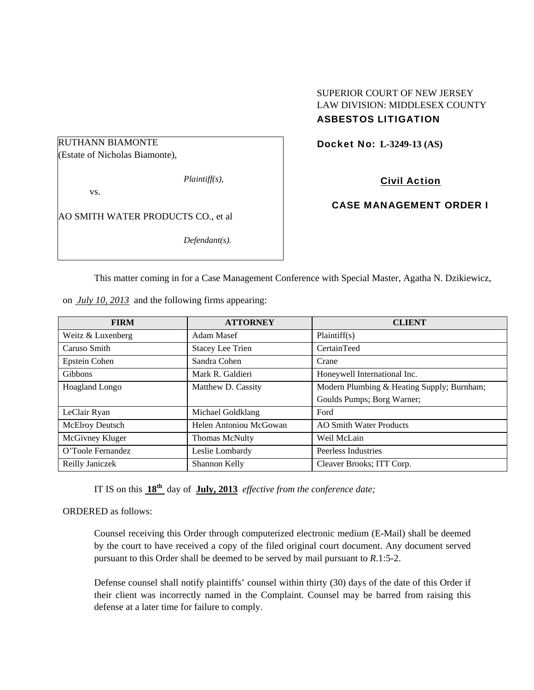#### RUTHANN BIAMONTE (Estate of Nicholas Biamonte),

*Plaintiff(s),* 

vs.

AO SMITH WATER PRODUCTS CO., et al

*Defendant(s).* 

# SUPERIOR COURT OF NEW JERSEY LAW DIVISION: MIDDLESEX COUNTY ASBESTOS LITIGATION

Docket No: **L-3249-13 (AS)** 

## Civil Action

## CASE MANAGEMENT ORDER I

This matter coming in for a Case Management Conference with Special Master, Agatha N. Dzikiewicz,

on *July 10, 2013* and the following firms appearing:

| <b>FIRM</b>       | <b>ATTORNEY</b>         | <b>CLIENT</b>                              |
|-------------------|-------------------------|--------------------------------------------|
| Weitz & Luxenberg | <b>Adam Masef</b>       | Plaintiff(s)                               |
| Caruso Smith      | <b>Stacey Lee Trien</b> | CertainTeed                                |
| Epstein Cohen     | Sandra Cohen            | Crane                                      |
| <b>Gibbons</b>    | Mark R. Galdieri        | Honeywell International Inc.               |
| Hoagland Longo    | Matthew D. Cassity      | Modern Plumbing & Heating Supply; Burnham; |
|                   |                         | Goulds Pumps; Borg Warner;                 |
| LeClair Ryan      | Michael Goldklang       | Ford                                       |
| McElroy Deutsch   | Helen Antoniou McGowan  | <b>AO Smith Water Products</b>             |
| McGivney Kluger   | <b>Thomas McNulty</b>   | Weil McLain                                |
| O'Toole Fernandez | Leslie Lombardy         | Peerless Industries                        |
| Reilly Janiczek   | Shannon Kelly           | Cleaver Brooks; ITT Corp.                  |

IT IS on this **18th** day of **July, 2013** *effective from the conference date;*

ORDERED as follows:

Counsel receiving this Order through computerized electronic medium (E-Mail) shall be deemed by the court to have received a copy of the filed original court document. Any document served pursuant to this Order shall be deemed to be served by mail pursuant to *R*.1:5-2.

Defense counsel shall notify plaintiffs' counsel within thirty (30) days of the date of this Order if their client was incorrectly named in the Complaint. Counsel may be barred from raising this defense at a later time for failure to comply.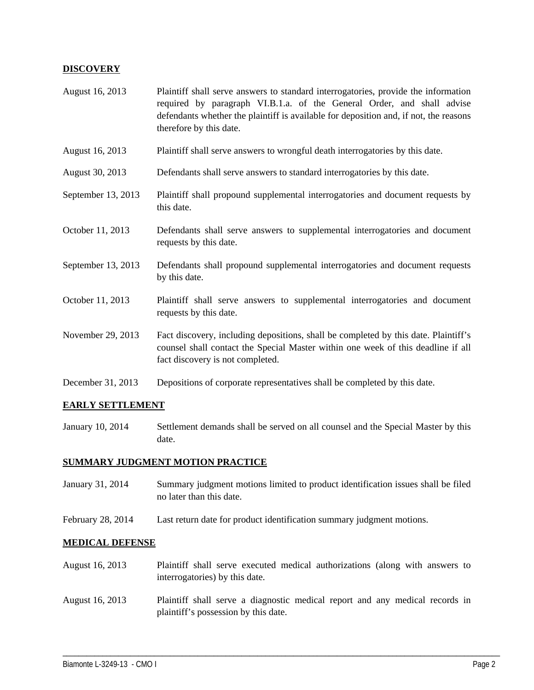### **DISCOVERY**

| August 16, 2013    | Plaintiff shall serve answers to standard interrogatories, provide the information<br>required by paragraph VI.B.1.a. of the General Order, and shall advise<br>defendants whether the plaintiff is available for deposition and, if not, the reasons<br>therefore by this date. |
|--------------------|----------------------------------------------------------------------------------------------------------------------------------------------------------------------------------------------------------------------------------------------------------------------------------|
| August 16, 2013    | Plaintiff shall serve answers to wrongful death interrogatories by this date.                                                                                                                                                                                                    |
| August 30, 2013    | Defendants shall serve answers to standard interrogatories by this date.                                                                                                                                                                                                         |
| September 13, 2013 | Plaintiff shall propound supplemental interrogatories and document requests by<br>this date.                                                                                                                                                                                     |
| October 11, 2013   | Defendants shall serve answers to supplemental interrogatories and document<br>requests by this date.                                                                                                                                                                            |
| September 13, 2013 | Defendants shall propound supplemental interrogatories and document requests<br>by this date.                                                                                                                                                                                    |
| October 11, 2013   | Plaintiff shall serve answers to supplemental interrogatories and document<br>requests by this date.                                                                                                                                                                             |
| November 29, 2013  | Fact discovery, including depositions, shall be completed by this date. Plaintiff's<br>counsel shall contact the Special Master within one week of this deadline if all<br>fact discovery is not completed.                                                                      |

December 31, 2013 Depositions of corporate representatives shall be completed by this date.

### **EARLY SETTLEMENT**

January 10, 2014 Settlement demands shall be served on all counsel and the Special Master by this date.

#### **SUMMARY JUDGMENT MOTION PRACTICE**

- January 31, 2014 Summary judgment motions limited to product identification issues shall be filed no later than this date.
- February 28, 2014 Last return date for product identification summary judgment motions.

#### **MEDICAL DEFENSE**

- August 16, 2013 Plaintiff shall serve executed medical authorizations (along with answers to interrogatories) by this date.
- August 16, 2013 Plaintiff shall serve a diagnostic medical report and any medical records in plaintiff's possession by this date.

\_\_\_\_\_\_\_\_\_\_\_\_\_\_\_\_\_\_\_\_\_\_\_\_\_\_\_\_\_\_\_\_\_\_\_\_\_\_\_\_\_\_\_\_\_\_\_\_\_\_\_\_\_\_\_\_\_\_\_\_\_\_\_\_\_\_\_\_\_\_\_\_\_\_\_\_\_\_\_\_\_\_\_\_\_\_\_\_\_\_\_\_\_\_\_\_\_\_\_\_\_\_\_\_\_\_\_\_\_\_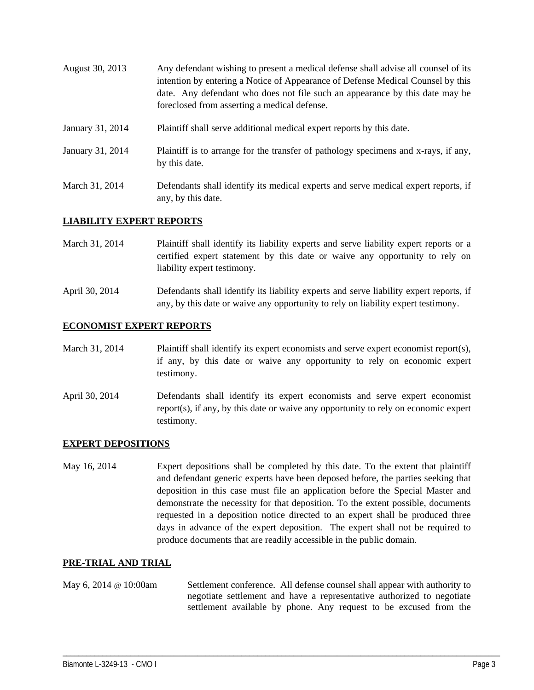| August 30, 2013  | Any defendant wishing to present a medical defense shall advise all counsel of its<br>intention by entering a Notice of Appearance of Defense Medical Counsel by this<br>date. Any defendant who does not file such an appearance by this date may be<br>foreclosed from asserting a medical defense. |
|------------------|-------------------------------------------------------------------------------------------------------------------------------------------------------------------------------------------------------------------------------------------------------------------------------------------------------|
| January 31, 2014 | Plaintiff shall serve additional medical expert reports by this date.                                                                                                                                                                                                                                 |
| January 31, 2014 | Plaintiff is to arrange for the transfer of pathology specimens and x-rays, if any,<br>by this date.                                                                                                                                                                                                  |
| March 31, 2014   | Defendants shall identify its medical experts and serve medical expert reports, if                                                                                                                                                                                                                    |

### **LIABILITY EXPERT REPORTS**

any, by this date.

March 31, 2014 Plaintiff shall identify its liability experts and serve liability expert reports or a certified expert statement by this date or waive any opportunity to rely on liability expert testimony.

April 30, 2014 Defendants shall identify its liability experts and serve liability expert reports, if any, by this date or waive any opportunity to rely on liability expert testimony.

#### **ECONOMIST EXPERT REPORTS**

March 31, 2014 Plaintiff shall identify its expert economists and serve expert economist report(s), if any, by this date or waive any opportunity to rely on economic expert testimony.

April 30, 2014 Defendants shall identify its expert economists and serve expert economist report(s), if any, by this date or waive any opportunity to rely on economic expert testimony.

#### **EXPERT DEPOSITIONS**

May 16, 2014 Expert depositions shall be completed by this date. To the extent that plaintiff and defendant generic experts have been deposed before, the parties seeking that deposition in this case must file an application before the Special Master and demonstrate the necessity for that deposition. To the extent possible, documents requested in a deposition notice directed to an expert shall be produced three days in advance of the expert deposition. The expert shall not be required to produce documents that are readily accessible in the public domain.

#### **PRE-TRIAL AND TRIAL**

May 6, 2014 @ 10:00am Settlement conference. All defense counsel shall appear with authority to negotiate settlement and have a representative authorized to negotiate settlement available by phone. Any request to be excused from the

\_\_\_\_\_\_\_\_\_\_\_\_\_\_\_\_\_\_\_\_\_\_\_\_\_\_\_\_\_\_\_\_\_\_\_\_\_\_\_\_\_\_\_\_\_\_\_\_\_\_\_\_\_\_\_\_\_\_\_\_\_\_\_\_\_\_\_\_\_\_\_\_\_\_\_\_\_\_\_\_\_\_\_\_\_\_\_\_\_\_\_\_\_\_\_\_\_\_\_\_\_\_\_\_\_\_\_\_\_\_